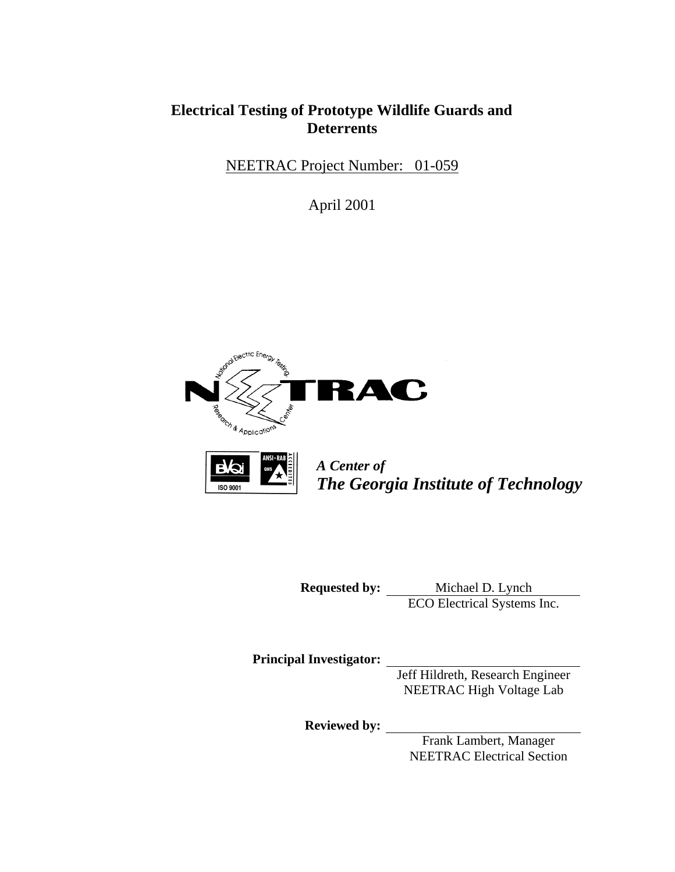# **Electrical Testing of Prototype Wildlife Guards and Deterrents**

NEETRAC Project Number: 01-059

April 2001





*A Center of The Georgia Institute of Technology* 

**Requested by:** Michael D. Lynch ECO Electrical Systems Inc.

**Principal Investigator:**

Jeff Hildreth, Research Engineer NEETRAC High Voltage Lab

**Reviewed by:**

Frank Lambert, Manager NEETRAC Electrical Section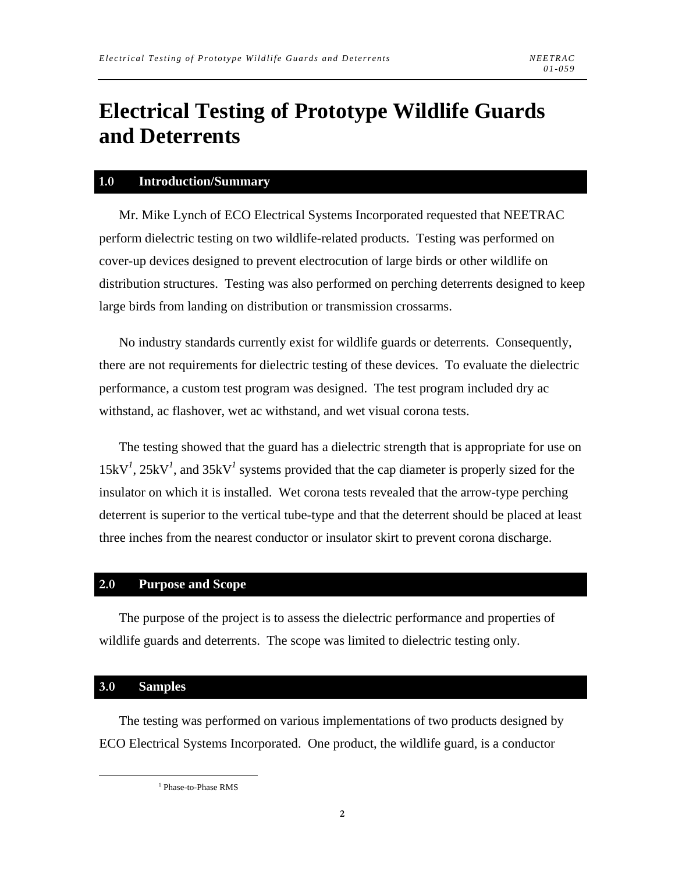# **Electrical Testing of Prototype Wildlife Guards and Deterrents**

#### **1.0 Introduction/Summary**

Mr. Mike Lynch of ECO Electrical Systems Incorporated requested that NEETRAC perform dielectric testing on two wildlife-related products. Testing was performed on cover-up devices designed to prevent electrocution of large birds or other wildlife on distribution structures. Testing was also performed on perching deterrents designed to keep large birds from landing on distribution or transmission crossarms.

No industry standards currently exist for wildlife guards or deterrents. Consequently, there are not requirements for dielectric testing of these devices. To evaluate the dielectric performance, a custom test program was designed. The test program included dry ac withstand, ac flashover, wet ac withstand, and wet visual corona tests.

The testing showed that the guard has a dielectric strength that is appropriate for use on  $15kV<sup>1</sup>$ ,  $25kV<sup>1</sup>$ , and  $35kV<sup>1</sup>$  systems provided that the cap diameter is properly sized for the insulator on which it is installed. Wet corona tests revealed that the arrow-type perching deterrent is superior to the vertical tube-type and that the deterrent should be placed at least three inches from the nearest conductor or insulator skirt to prevent corona discharge.

#### **2.0 Purpose and Scope**

The purpose of the project is to assess the dielectric performance and properties of wildlife guards and deterrents. The scope was limited to dielectric testing only.

#### **3.0 Samples**

The testing was performed on various implementations of two products designed by ECO Electrical Systems Incorporated. One product, the wildlife guard, is a conductor

 <sup>1</sup> <sup>1</sup> Phase-to-Phase RMS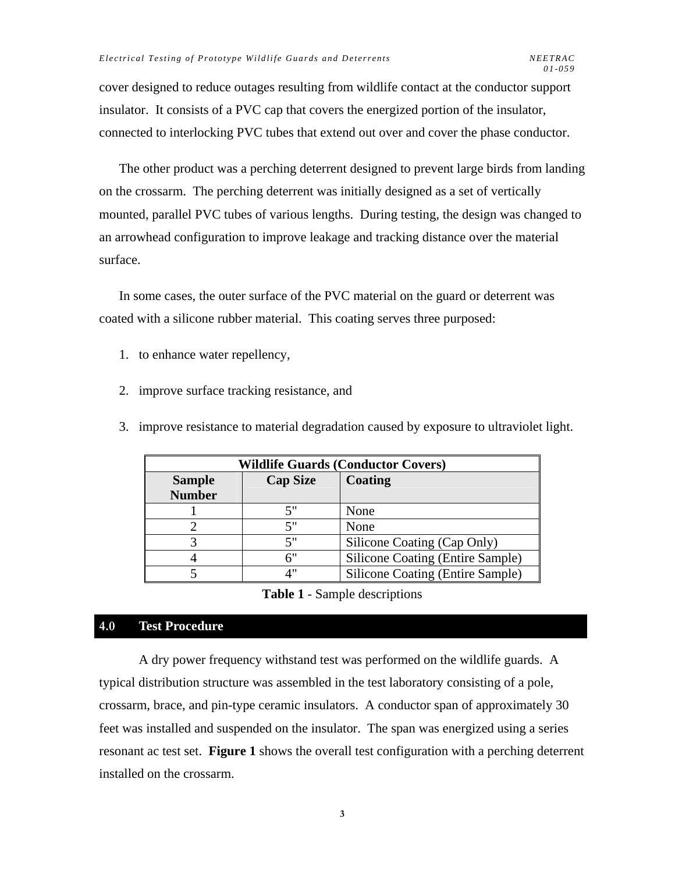cover designed to reduce outages resulting from wildlife contact at the conductor support insulator. It consists of a PVC cap that covers the energized portion of the insulator, connected to interlocking PVC tubes that extend out over and cover the phase conductor.

The other product was a perching deterrent designed to prevent large birds from landing on the crossarm. The perching deterrent was initially designed as a set of vertically mounted, parallel PVC tubes of various lengths. During testing, the design was changed to an arrowhead configuration to improve leakage and tracking distance over the material surface.

In some cases, the outer surface of the PVC material on the guard or deterrent was coated with a silicone rubber material. This coating serves three purposed:

- 1. to enhance water repellency,
- 2. improve surface tracking resistance, and
- 3. improve resistance to material degradation caused by exposure to ultraviolet light.

| <b>Wildlife Guards (Conductor Covers)</b> |                 |                                         |  |  |  |  |
|-------------------------------------------|-----------------|-----------------------------------------|--|--|--|--|
| <b>Sample</b>                             | <b>Cap Size</b> | Coating                                 |  |  |  |  |
| <b>Number</b>                             |                 |                                         |  |  |  |  |
|                                           | 5"              | None                                    |  |  |  |  |
|                                           | 5"              | None                                    |  |  |  |  |
|                                           | 5"              | Silicone Coating (Cap Only)             |  |  |  |  |
|                                           | 6"              | Silicone Coating (Entire Sample)        |  |  |  |  |
|                                           | $\Lambda$ "     | <b>Silicone Coating (Entire Sample)</b> |  |  |  |  |

#### **Table 1** - Sample descriptions

### **4.0 Test Procedure**

A dry power frequency withstand test was performed on the wildlife guards. A typical distribution structure was assembled in the test laboratory consisting of a pole, crossarm, brace, and pin-type ceramic insulators. A conductor span of approximately 30 feet was installed and suspended on the insulator. The span was energized using a series resonant ac test set. **Figure 1** shows the overall test configuration with a perching deterrent installed on the crossarm.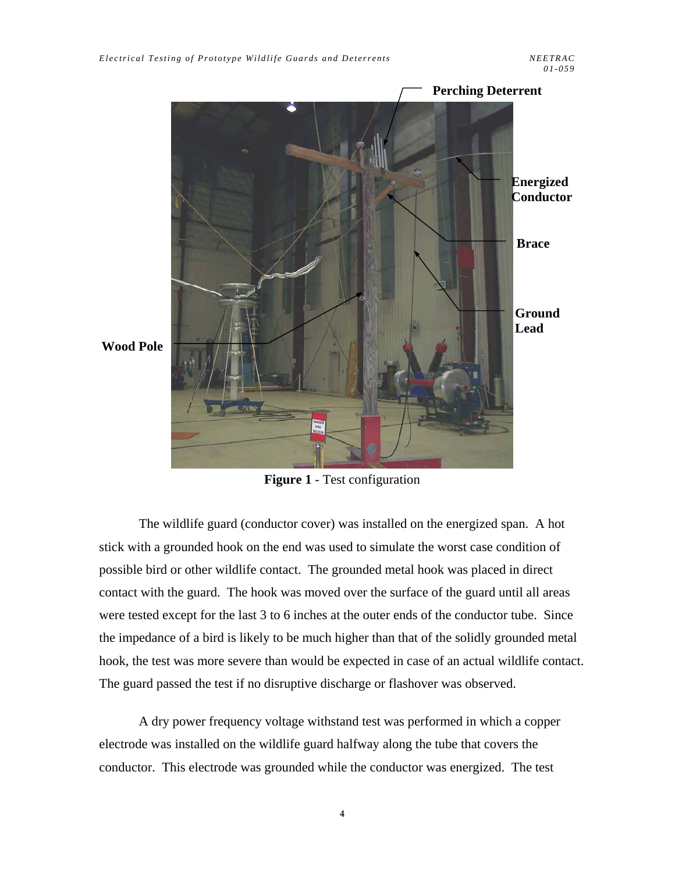

**Wood Pole** 

**Figure 1** - Test configuration

The wildlife guard (conductor cover) was installed on the energized span. A hot stick with a grounded hook on the end was used to simulate the worst case condition of possible bird or other wildlife contact. The grounded metal hook was placed in direct contact with the guard. The hook was moved over the surface of the guard until all areas were tested except for the last 3 to 6 inches at the outer ends of the conductor tube. Since the impedance of a bird is likely to be much higher than that of the solidly grounded metal hook, the test was more severe than would be expected in case of an actual wildlife contact. The guard passed the test if no disruptive discharge or flashover was observed.

A dry power frequency voltage withstand test was performed in which a copper electrode was installed on the wildlife guard halfway along the tube that covers the conductor. This electrode was grounded while the conductor was energized. The test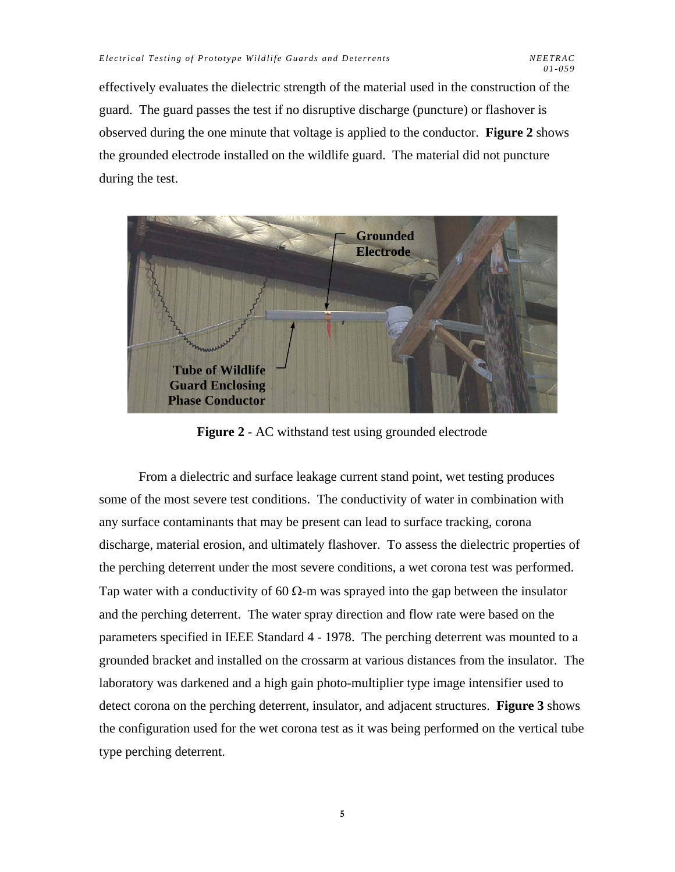effectively evaluates the dielectric strength of the material used in the construction of the guard. The guard passes the test if no disruptive discharge (puncture) or flashover is observed during the one minute that voltage is applied to the conductor. **Figure 2** shows the grounded electrode installed on the wildlife guard. The material did not puncture during the test.



**Figure 2** - AC withstand test using grounded electrode

From a dielectric and surface leakage current stand point, wet testing produces some of the most severe test conditions. The conductivity of water in combination with any surface contaminants that may be present can lead to surface tracking, corona discharge, material erosion, and ultimately flashover. To assess the dielectric properties of the perching deterrent under the most severe conditions, a wet corona test was performed. Tap water with a conductivity of 60  $\Omega$ -m was sprayed into the gap between the insulator and the perching deterrent. The water spray direction and flow rate were based on the parameters specified in IEEE Standard 4 - 1978. The perching deterrent was mounted to a grounded bracket and installed on the crossarm at various distances from the insulator. The laboratory was darkened and a high gain photo-multiplier type image intensifier used to detect corona on the perching deterrent, insulator, and adjacent structures. **Figure 3** shows the configuration used for the wet corona test as it was being performed on the vertical tube type perching deterrent.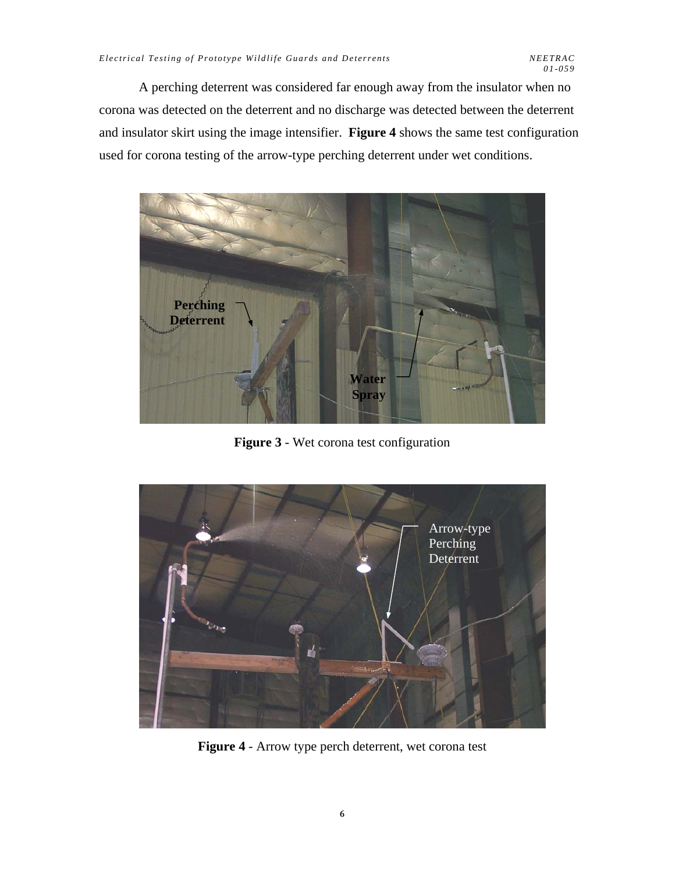A perching deterrent was considered far enough away from the insulator when no corona was detected on the deterrent and no discharge was detected between the deterrent and insulator skirt using the image intensifier. **Figure 4** shows the same test configuration used for corona testing of the arrow-type perching deterrent under wet conditions.



**Figure 3** - Wet corona test configuration



**Figure 4** - Arrow type perch deterrent, wet corona test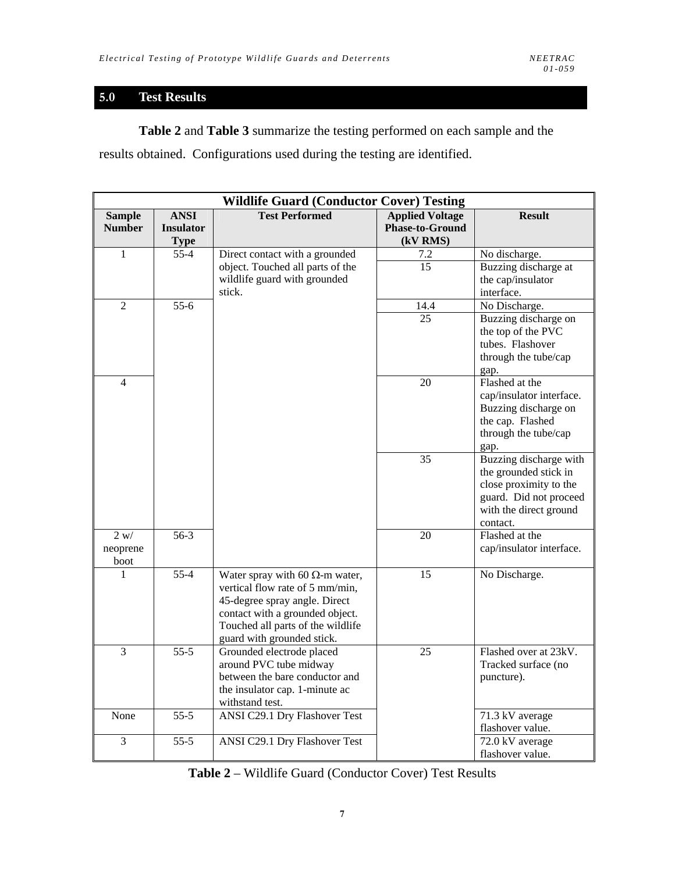## **5.0 Test Results**

**Table 2** and **Table 3** summarize the testing performed on each sample and the results obtained. Configurations used during the testing are identified.

| <b>Wildlife Guard (Conductor Cover) Testing</b> |                                                |                                                                                                                                                                                                                  |                                                              |                                                                                                                                           |  |  |  |  |
|-------------------------------------------------|------------------------------------------------|------------------------------------------------------------------------------------------------------------------------------------------------------------------------------------------------------------------|--------------------------------------------------------------|-------------------------------------------------------------------------------------------------------------------------------------------|--|--|--|--|
| <b>Sample</b><br><b>Number</b>                  | <b>ANSI</b><br><b>Insulator</b><br><b>Type</b> | <b>Test Performed</b>                                                                                                                                                                                            | <b>Applied Voltage</b><br><b>Phase-to-Ground</b><br>(kV RMS) | <b>Result</b>                                                                                                                             |  |  |  |  |
| $\mathbf{1}$                                    | $55 - 4$                                       | Direct contact with a grounded                                                                                                                                                                                   | 7.2                                                          | No discharge.                                                                                                                             |  |  |  |  |
|                                                 |                                                | object. Touched all parts of the<br>wildlife guard with grounded<br>stick.                                                                                                                                       | $\overline{15}$                                              | Buzzing discharge at<br>the cap/insulator<br>interface.                                                                                   |  |  |  |  |
| $\overline{2}$                                  | $\frac{1}{55-6}$                               |                                                                                                                                                                                                                  | 14.4                                                         | No Discharge.                                                                                                                             |  |  |  |  |
|                                                 |                                                |                                                                                                                                                                                                                  | 25                                                           | Buzzing discharge on<br>the top of the PVC<br>tubes. Flashover<br>through the tube/cap<br>gap.                                            |  |  |  |  |
| 4                                               |                                                |                                                                                                                                                                                                                  | 20                                                           | Flashed at the<br>cap/insulator interface.<br>Buzzing discharge on<br>the cap. Flashed<br>through the tube/cap<br>gap.                    |  |  |  |  |
|                                                 |                                                |                                                                                                                                                                                                                  | 35                                                           | Buzzing discharge with<br>the grounded stick in<br>close proximity to the<br>guard. Did not proceed<br>with the direct ground<br>contact. |  |  |  |  |
| 2 w/<br>neoprene<br>boot                        | $56-3$                                         |                                                                                                                                                                                                                  | 20                                                           | Flashed at the<br>cap/insulator interface.                                                                                                |  |  |  |  |
| 1                                               | $55 - 4$                                       | Water spray with 60 $\Omega$ -m water,<br>vertical flow rate of 5 mm/min,<br>45-degree spray angle. Direct<br>contact with a grounded object.<br>Touched all parts of the wildlife<br>guard with grounded stick. | 15                                                           | No Discharge.                                                                                                                             |  |  |  |  |
| $\overline{3}$                                  | $55 - 5$                                       | Grounded electrode placed<br>around PVC tube midway<br>between the bare conductor and<br>the insulator cap. 1-minute ac<br>withstand test.                                                                       | 25                                                           | Flashed over at 23kV.<br>Tracked surface (no<br>puncture).                                                                                |  |  |  |  |
| None                                            | $55-5$                                         | <b>ANSI C29.1 Dry Flashover Test</b>                                                                                                                                                                             |                                                              | 71.3 kV average<br>flashover value.                                                                                                       |  |  |  |  |
| 3                                               | $55-5$                                         | ANSI C29.1 Dry Flashover Test                                                                                                                                                                                    |                                                              | 72.0 kV average<br>flashover value.                                                                                                       |  |  |  |  |

**Table 2** – Wildlife Guard (Conductor Cover) Test Results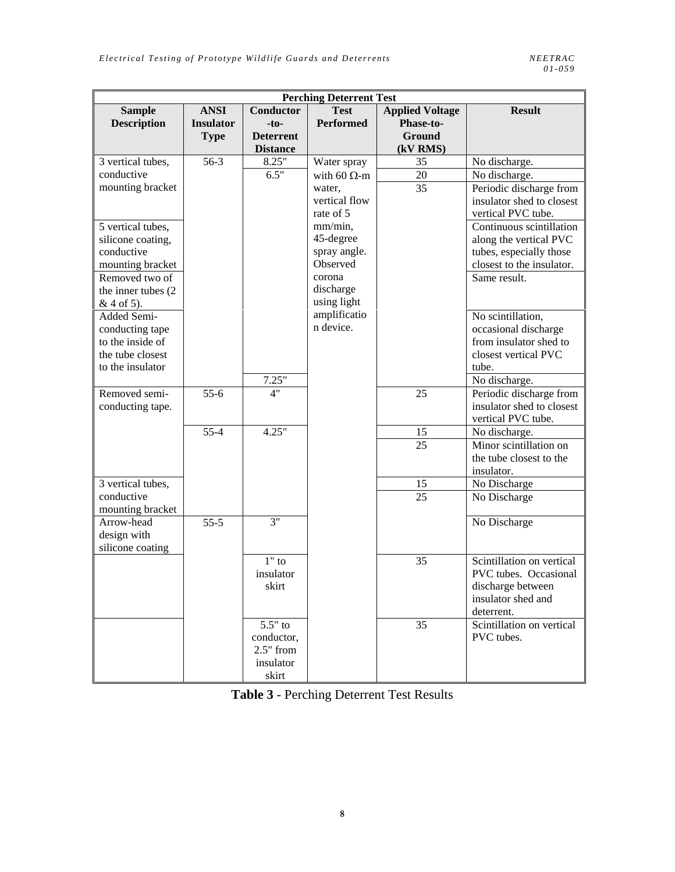| <b>Perching Deterrent Test</b> |                   |                  |                     |                        |                           |  |  |  |  |
|--------------------------------|-------------------|------------------|---------------------|------------------------|---------------------------|--|--|--|--|
| <b>Sample</b>                  | <b>ANSI</b>       | Conductor        | <b>Test</b>         | <b>Applied Voltage</b> | <b>Result</b>             |  |  |  |  |
| <b>Description</b>             | <b>Insulator</b>  | $-to-$           | <b>Performed</b>    | Phase-to-              |                           |  |  |  |  |
|                                | <b>Type</b>       | <b>Deterrent</b> |                     | <b>Ground</b>          |                           |  |  |  |  |
|                                |                   | <b>Distance</b>  |                     | (kV RMS)               |                           |  |  |  |  |
| 3 vertical tubes,              | $56-3$            | 8.25"            | Water spray         | 35                     | No discharge.             |  |  |  |  |
| conductive                     |                   | 6.5"             | with 60 $\Omega$ -m | 20                     | No discharge.             |  |  |  |  |
| mounting bracket               |                   |                  | water,              | 35                     | Periodic discharge from   |  |  |  |  |
|                                |                   |                  | vertical flow       |                        | insulator shed to closest |  |  |  |  |
|                                |                   |                  | rate of 5           |                        | vertical PVC tube.        |  |  |  |  |
| 5 vertical tubes,              |                   |                  | mm/min,             |                        | Continuous scintillation  |  |  |  |  |
| silicone coating,              |                   |                  | 45-degree           |                        | along the vertical PVC    |  |  |  |  |
| conductive                     |                   |                  | spray angle.        |                        | tubes, especially those   |  |  |  |  |
| mounting bracket               |                   |                  | Observed            |                        | closest to the insulator. |  |  |  |  |
| Removed two of                 |                   |                  | corona              |                        | Same result.              |  |  |  |  |
| the inner tubes (2)            |                   |                  | discharge           |                        |                           |  |  |  |  |
| $& 4$ of 5).                   |                   |                  | using light         |                        |                           |  |  |  |  |
| Added Semi-                    |                   |                  | amplificatio        |                        | No scintillation,         |  |  |  |  |
| conducting tape                |                   |                  | n device.           |                        | occasional discharge      |  |  |  |  |
| to the inside of               |                   |                  |                     |                        | from insulator shed to    |  |  |  |  |
| the tube closest               |                   |                  |                     |                        | closest vertical PVC      |  |  |  |  |
| to the insulator               |                   |                  |                     |                        | tube.                     |  |  |  |  |
|                                |                   | 7.25"            |                     |                        | No discharge.             |  |  |  |  |
| Removed semi-                  | $\frac{1}{55-6}$  | 4"               |                     | 25                     | Periodic discharge from   |  |  |  |  |
| conducting tape.               |                   |                  |                     |                        | insulator shed to closest |  |  |  |  |
|                                |                   |                  |                     |                        | vertical PVC tube.        |  |  |  |  |
|                                | $55 - 4$          | 4.25"            |                     | 15                     | No discharge.             |  |  |  |  |
|                                |                   |                  |                     | 25                     | Minor scintillation on    |  |  |  |  |
|                                |                   |                  |                     |                        | the tube closest to the   |  |  |  |  |
|                                |                   |                  |                     |                        | insulator.                |  |  |  |  |
| $\overline{3}$ vertical tubes, |                   |                  |                     | 15                     | No Discharge              |  |  |  |  |
| conductive                     |                   |                  |                     | 25                     | No Discharge              |  |  |  |  |
| mounting bracket               |                   |                  |                     |                        |                           |  |  |  |  |
| Arrow-head                     | $\overline{55-5}$ | 3"               |                     |                        | No Discharge              |  |  |  |  |
| design with                    |                   |                  |                     |                        |                           |  |  |  |  |
| silicone coating               |                   |                  |                     |                        |                           |  |  |  |  |
|                                |                   | $1"$ to          |                     | 35                     | Scintillation on vertical |  |  |  |  |
|                                |                   | insulator        |                     |                        | PVC tubes. Occasional     |  |  |  |  |
|                                |                   | skirt            |                     |                        | discharge between         |  |  |  |  |
|                                |                   |                  |                     |                        | insulator shed and        |  |  |  |  |
|                                |                   |                  |                     |                        | deterrent.                |  |  |  |  |
|                                |                   | $5.5"$ to        |                     | 35                     | Scintillation on vertical |  |  |  |  |
|                                |                   | conductor,       |                     |                        | PVC tubes.                |  |  |  |  |
|                                |                   | $2.5"$ from      |                     |                        |                           |  |  |  |  |
|                                |                   | insulator        |                     |                        |                           |  |  |  |  |
|                                |                   | skirt            |                     |                        |                           |  |  |  |  |

**Table 3** - Perching Deterrent Test Results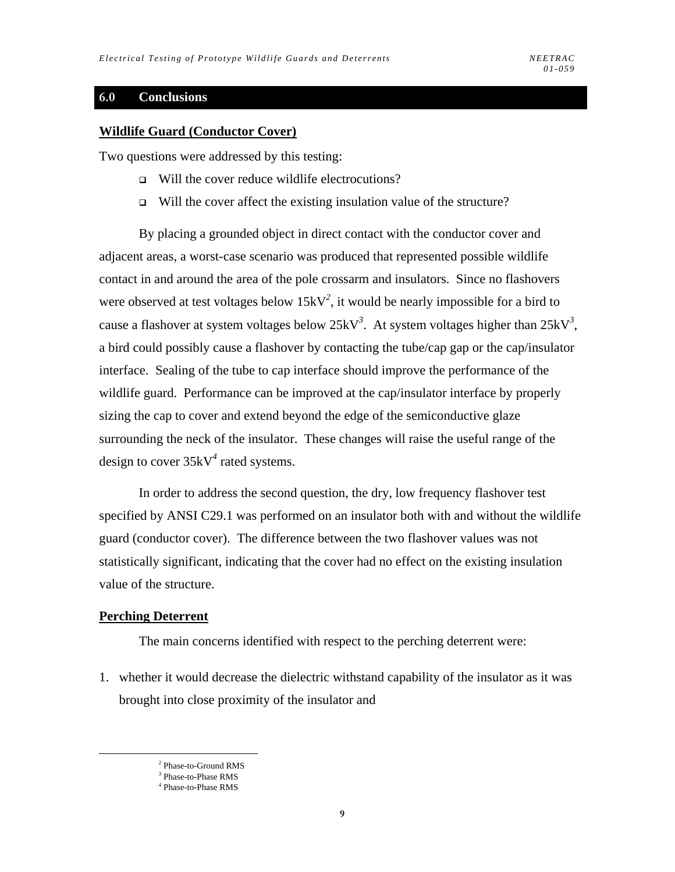## **6.0 Conclusions**

#### **Wildlife Guard (Conductor Cover)**

Two questions were addressed by this testing:

- □ Will the cover reduce wildlife electrocutions?
- $\Box$  Will the cover affect the existing insulation value of the structure?

By placing a grounded object in direct contact with the conductor cover and adjacent areas, a worst-case scenario was produced that represented possible wildlife contact in and around the area of the pole crossarm and insulators. Since no flashovers were observed at test voltages below  $15kV^2$ , it would be nearly impossible for a bird to cause a flashover at system voltages below 25kV*<sup>3</sup>* . At system voltages higher than 25kV*<sup>3</sup>* , a bird could possibly cause a flashover by contacting the tube/cap gap or the cap/insulator interface. Sealing of the tube to cap interface should improve the performance of the wildlife guard. Performance can be improved at the cap/insulator interface by properly sizing the cap to cover and extend beyond the edge of the semiconductive glaze surrounding the neck of the insulator. These changes will raise the useful range of the design to cover 35kV*<sup>4</sup>* rated systems.

In order to address the second question, the dry, low frequency flashover test specified by ANSI C29.1 was performed on an insulator both with and without the wildlife guard (conductor cover). The difference between the two flashover values was not statistically significant, indicating that the cover had no effect on the existing insulation value of the structure.

#### **Perching Deterrent**

The main concerns identified with respect to the perching deterrent were:

1. whether it would decrease the dielectric withstand capability of the insulator as it was brought into close proximity of the insulator and

 <sup>2</sup> <sup>2</sup> Phase-to-Ground RMS

<sup>3</sup> Phase-to-Phase RMS

<sup>4</sup> Phase-to-Phase RMS